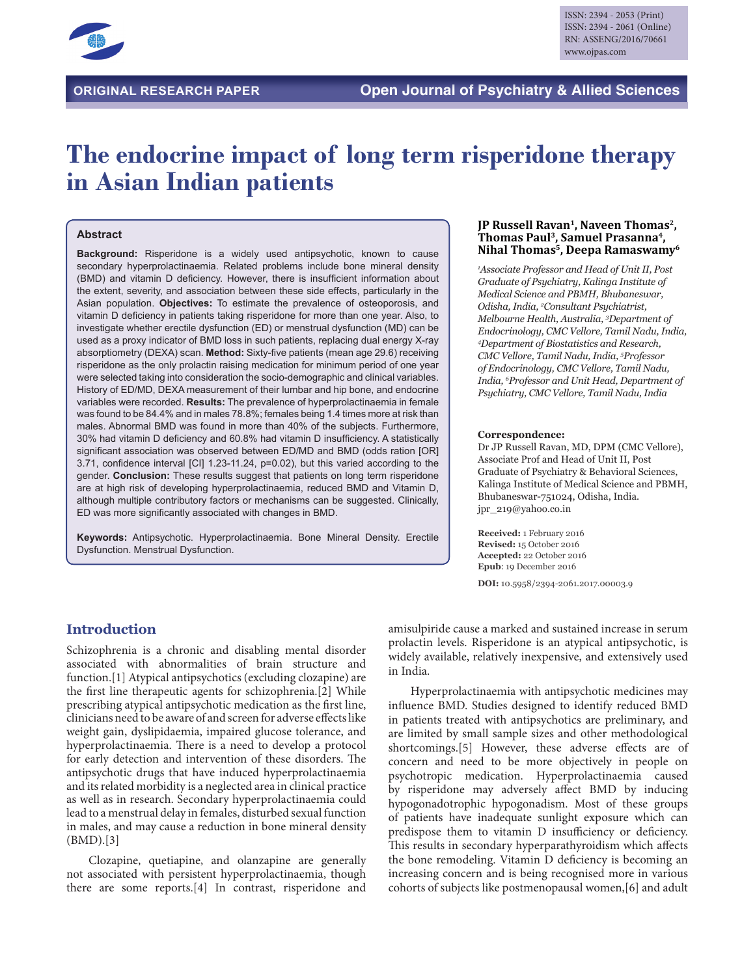

# **The endocrine impact of long term risperidone therapy in Asian Indian patients**

#### **Abstract**

**Background:** Risperidone is a widely used antipsychotic, known to cause secondary hyperprolactinaemia. Related problems include bone mineral density (BMD) and vitamin D deficiency. However, there is insufficient information about the extent, severity, and association between these side effects, particularly in the Asian population. **Objectives:** To estimate the prevalence of osteoporosis, and vitamin D deficiency in patients taking risperidone for more than one year. Also, to investigate whether erectile dysfunction (ED) or menstrual dysfunction (MD) can be used as a proxy indicator of BMD loss in such patients, replacing dual energy X-ray absorptiometry (DEXA) scan. **Method:** Sixty-five patients (mean age 29.6) receiving risperidone as the only prolactin raising medication for minimum period of one year were selected taking into consideration the socio-demographic and clinical variables. History of ED/MD, DEXA measurement of their lumbar and hip bone, and endocrine variables were recorded. **Results:** The prevalence of hyperprolactinaemia in female was found to be 84.4% and in males 78.8%; females being 1.4 times more at risk than males. Abnormal BMD was found in more than 40% of the subjects. Furthermore, 30% had vitamin D deficiency and 60.8% had vitamin D insufficiency. A statistically significant association was observed between ED/MD and BMD (odds ration [OR] 3.71, confidence interval [CI] 1.23-11.24, p=0.02), but this varied according to the gender. **Conclusion:** These results suggest that patients on long term risperidone are at high risk of developing hyperprolactinaemia, reduced BMD and Vitamin D, although multiple contributory factors or mechanisms can be suggested. Clinically, ED was more significantly associated with changes in BMD.

**Keywords:** Antipsychotic. Hyperprolactinaemia. Bone Mineral Density. Erectile Dysfunction. Menstrual Dysfunction.

#### **JP Russell Ravan1, Naveen Thomas2, Thomas Paul3, Samuel Prasanna4, Nihal Thomas5, Deepa Ramaswamy6**

*1 Associate Professor and Head of Unit II, Post Graduate of Psychiatry, Kalinga Institute of Medical Science and PBMH, Bhubaneswar, Odisha, India, 2 Consultant Psychiatrist, Melbourne Health, Australia, 3 Department of Endocrinology, CMC Vellore, Tamil Nadu, India, 4 Department of Biostatistics and Research, CMC Vellore, Tamil Nadu, India, 5 Professor of Endocrinology, CMC Vellore, Tamil Nadu, India, 6 Professor and Unit Head, Department of Psychiatry, CMC Vellore, Tamil Nadu, India*

#### **Correspondence:**

Dr JP Russell Ravan, MD, DPM (CMC Vellore), Associate Prof and Head of Unit II, Post Graduate of Psychiatry & Behavioral Sciences, Kalinga Institute of Medical Science and PBMH, Bhubaneswar-751024, Odisha, India. jpr\_219@yahoo.co.in

**Received:** 1 February 2016 **Revised:** 15 October 2016 **Accepted:** 22 October 2016 **Epub**: 19 December 2016

**DOI:** 10.5958/2394-2061.2017.00003.9

# **Introduction**

Schizophrenia is a chronic and disabling mental disorder associated with abnormalities of brain structure and function.[1] Atypical antipsychotics (excluding clozapine) are the first line therapeutic agents for schizophrenia.[2] While prescribing atypical antipsychotic medication as the first line, clinicians need to be aware of and screen for adverse effects like weight gain, dyslipidaemia, impaired glucose tolerance, and hyperprolactinaemia. There is a need to develop a protocol for early detection and intervention of these disorders. The antipsychotic drugs that have induced hyperprolactinaemia and its related morbidity is a neglected area in clinical practice as well as in research. Secondary hyperprolactinaemia could lead to a menstrual delay in females, disturbed sexual function in males, and may cause a reduction in bone mineral density (BMD).[3]

Clozapine, quetiapine, and olanzapine are generally not associated with persistent hyperprolactinaemia, though there are some reports.[4] In contrast, risperidone and

amisulpiride cause a marked and sustained increase in serum prolactin levels. Risperidone is an atypical antipsychotic, is widely available, relatively inexpensive, and extensively used in India.

Hyperprolactinaemia with antipsychotic medicines may influence BMD. Studies designed to identify reduced BMD in patients treated with antipsychotics are preliminary, and are limited by small sample sizes and other methodological shortcomings.[5] However, these adverse effects are of concern and need to be more objectively in people on psychotropic medication. Hyperprolactinaemia caused by risperidone may adversely affect BMD by inducing hypogonadotrophic hypogonadism. Most of these groups of patients have inadequate sunlight exposure which can predispose them to vitamin D insufficiency or deficiency. This results in secondary hyperparathyroidism which affects the bone remodeling. Vitamin D deficiency is becoming an increasing concern and is being recognised more in various cohorts of subjects like postmenopausal women,[6] and adult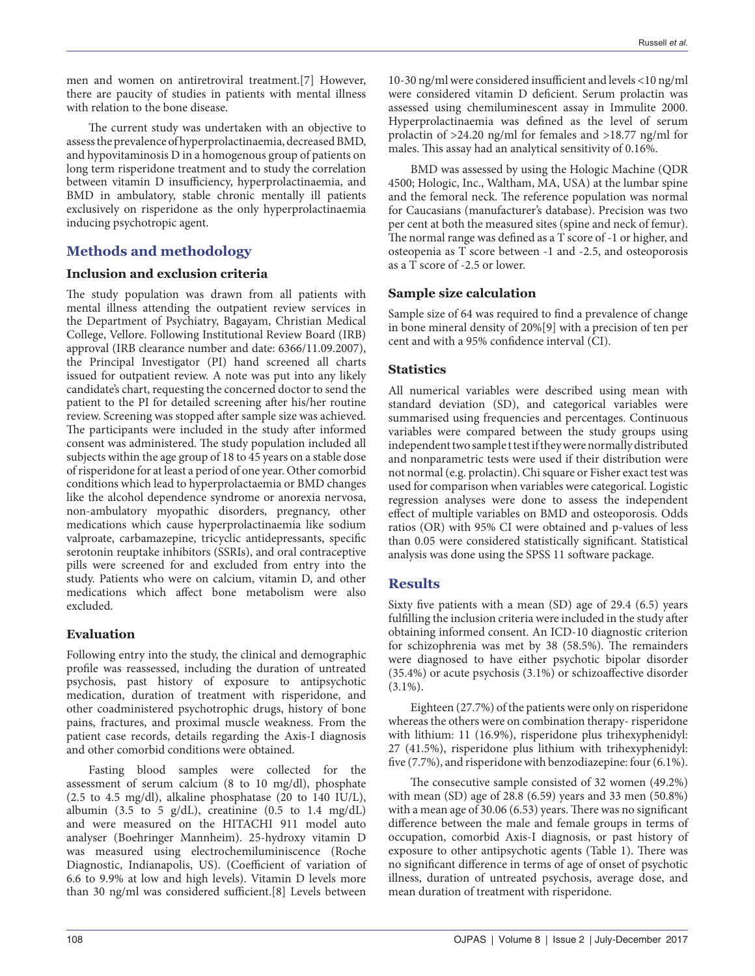men and women on antiretroviral treatment.[7] However, there are paucity of studies in patients with mental illness with relation to the bone disease.

The current study was undertaken with an objective to assess the prevalence of hyperprolactinaemia, decreased BMD, and hypovitaminosis D in a homogenous group of patients on long term risperidone treatment and to study the correlation between vitamin D insufficiency, hyperprolactinaemia, and BMD in ambulatory, stable chronic mentally ill patients exclusively on risperidone as the only hyperprolactinaemia inducing psychotropic agent.

# **Methods and methodology**

## **Inclusion and exclusion criteria**

The study population was drawn from all patients with mental illness attending the outpatient review services in the Department of Psychiatry, Bagayam, Christian Medical College, Vellore. Following Institutional Review Board (IRB) approval (IRB clearance number and date: 6366/11.09.2007), the Principal Investigator (PI) hand screened all charts issued for outpatient review. A note was put into any likely candidate's chart, requesting the concerned doctor to send the patient to the PI for detailed screening after his/her routine review. Screening was stopped after sample size was achieved. The participants were included in the study after informed consent was administered. The study population included all subjects within the age group of 18 to 45 years on a stable dose of risperidone for at least a period of one year. Other comorbid conditions which lead to hyperprolactaemia or BMD changes like the alcohol dependence syndrome or anorexia nervosa, non-ambulatory myopathic disorders, pregnancy, other medications which cause hyperprolactinaemia like sodium valproate, carbamazepine, tricyclic antidepressants, specific serotonin reuptake inhibitors (SSRIs), and oral contraceptive pills were screened for and excluded from entry into the study. Patients who were on calcium, vitamin D, and other medications which affect bone metabolism were also excluded.

# **Evaluation**

Following entry into the study, the clinical and demographic profile was reassessed, including the duration of untreated psychosis, past history of exposure to antipsychotic medication, duration of treatment with risperidone, and other coadministered psychotrophic drugs, history of bone pains, fractures, and proximal muscle weakness. From the patient case records, details regarding the Axis-I diagnosis and other comorbid conditions were obtained.

Fasting blood samples were collected for the assessment of serum calcium (8 to 10 mg/dl), phosphate  $(2.5 \text{ to } 4.5 \text{ mg/dl})$ , alkaline phosphatase  $(20 \text{ to } 140 \text{ IU/L})$ , albumin (3.5 to 5  $g/dL$ ), creatinine (0.5 to 1.4 mg/dL) and were measured on the HITACHI 911 model auto analyser (Boehringer Mannheim). 25-hydroxy vitamin D was measured using electrochemiluminiscence (Roche Diagnostic, Indianapolis, US). (Coefficient of variation of 6.6 to 9.9% at low and high levels). Vitamin D levels more than 30 ng/ml was considered sufficient.[8] Levels between

10-30 ng/ml were considered insufficient and levels <10 ng/ml were considered vitamin D deficient. Serum prolactin was assessed using chemiluminescent assay in Immulite 2000. Hyperprolactinaemia was defined as the level of serum prolactin of >24.20 ng/ml for females and >18.77 ng/ml for males. This assay had an analytical sensitivity of 0.16%.

BMD was assessed by using the Hologic Machine (QDR 4500; Hologic, Inc., Waltham, MA, USA) at the lumbar spine and the femoral neck. The reference population was normal for Caucasians (manufacturer's database). Precision was two per cent at both the measured sites (spine and neck of femur). The normal range was defined as a T score of -1 or higher, and osteopenia as T score between -1 and -2.5, and osteoporosis as a T score of -2.5 or lower.

## **Sample size calculation**

Sample size of 64 was required to find a prevalence of change in bone mineral density of 20%[9] with a precision of ten per cent and with a 95% confidence interval (CI).

## **Statistics**

All numerical variables were described using mean with standard deviation (SD), and categorical variables were summarised using frequencies and percentages. Continuous variables were compared between the study groups using independent two sample t test if they were normally distributed and nonparametric tests were used if their distribution were not normal (e.g. prolactin). Chi square or Fisher exact test was used for comparison when variables were categorical. Logistic regression analyses were done to assess the independent effect of multiple variables on BMD and osteoporosis. Odds ratios (OR) with 95% CI were obtained and p-values of less than 0.05 were considered statistically significant. Statistical analysis was done using the SPSS 11 software package.

# **Results**

Sixty five patients with a mean (SD) age of 29.4 (6.5) years fulfilling the inclusion criteria were included in the study after obtaining informed consent. An ICD-10 diagnostic criterion for schizophrenia was met by 38 (58.5%). The remainders were diagnosed to have either psychotic bipolar disorder (35.4%) or acute psychosis (3.1%) or schizoaffective disorder (3.1%).

Eighteen (27.7%) of the patients were only on risperidone whereas the others were on combination therapy- risperidone with lithium: 11 (16.9%), risperidone plus trihexyphenidyl: 27 (41.5%), risperidone plus lithium with trihexyphenidyl: five (7.7%), and risperidone with benzodiazepine: four (6.1%).

The consecutive sample consisted of 32 women (49.2%) with mean (SD) age of 28.8 (6.59) years and 33 men (50.8%) with a mean age of 30.06 (6.53) years. There was no significant difference between the male and female groups in terms of occupation, comorbid Axis-I diagnosis, or past history of exposure to other antipsychotic agents (Table 1). There was no significant difference in terms of age of onset of psychotic illness, duration of untreated psychosis, average dose, and mean duration of treatment with risperidone.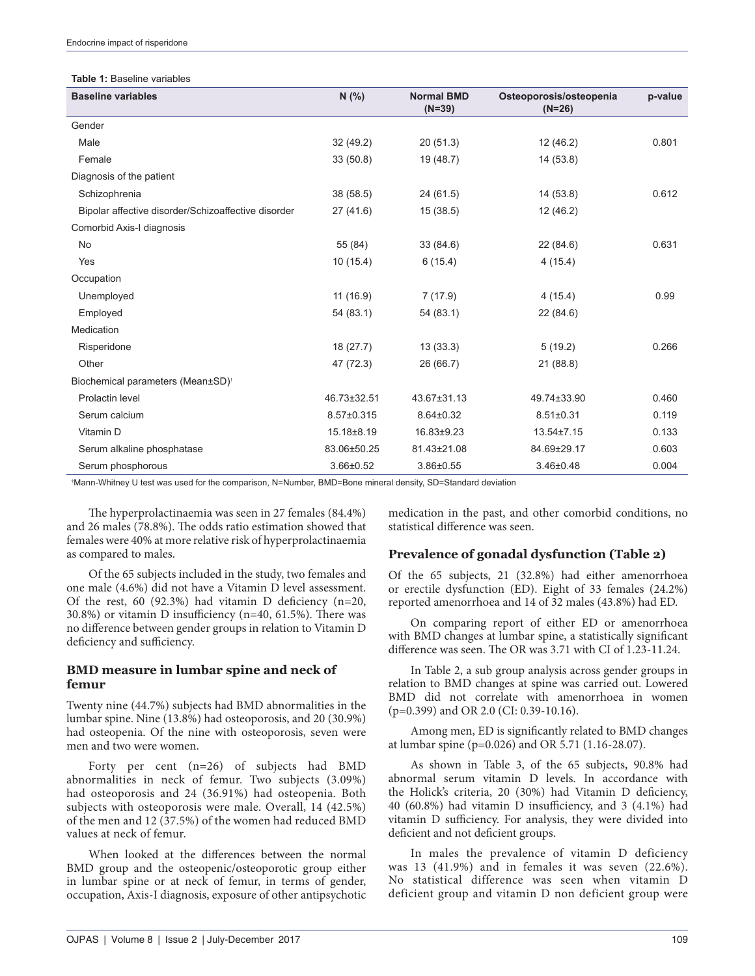#### **Table 1:** Baseline variables

| <b>Baseline variables</b>                           | N(% )       | <b>Normal BMD</b> | Osteoporosis/osteopenia | p-value |
|-----------------------------------------------------|-------------|-------------------|-------------------------|---------|
|                                                     |             | $(N=39)$          | $(N=26)$                |         |
| Gender                                              |             |                   |                         |         |
| Male                                                | 32(49.2)    | 20(51.3)          | 12(46.2)                | 0.801   |
| Female                                              | 33(50.8)    | 19 (48.7)         | 14 (53.8)               |         |
| Diagnosis of the patient                            |             |                   |                         |         |
| Schizophrenia                                       | 38 (58.5)   | 24(61.5)          | 14 (53.8)               | 0.612   |
| Bipolar affective disorder/Schizoaffective disorder | 27(41.6)    | 15(38.5)          | 12(46.2)                |         |
| Comorbid Axis-I diagnosis                           |             |                   |                         |         |
| No                                                  | 55 (84)     | 33(84.6)          | 22(84.6)                | 0.631   |
| Yes                                                 | 10(15.4)    | 6(15.4)           | 4(15.4)                 |         |
| Occupation                                          |             |                   |                         |         |
| Unemployed                                          | 11(16.9)    | 7(17.9)           | 4(15.4)                 | 0.99    |
| Employed                                            | 54 (83.1)   | 54 (83.1)         | 22(84.6)                |         |
| Medication                                          |             |                   |                         |         |
| Risperidone                                         | 18(27.7)    | 13(33.3)          | 5(19.2)                 | 0.266   |
| Other                                               | 47 (72.3)   | 26 (66.7)         | 21(88.8)                |         |
| Biochemical parameters (Mean±SD) <sup>+</sup>       |             |                   |                         |         |
| Prolactin level                                     | 46.73±32.51 | 43.67±31.13       | 49.74±33.90             | 0.460   |
| Serum calcium                                       | 8.57±0.315  | $8.64 \pm 0.32$   | $8.51 \pm 0.31$         | 0.119   |
| Vitamin D                                           | 15.18±8.19  | 16.83±9.23        | 13.54±7.15              | 0.133   |
| Serum alkaline phosphatase                          | 83.06±50.25 | 81.43±21.08       | 84.69±29.17             | 0.603   |
| Serum phosphorous                                   | 3.66±0.52   | 3.86±0.55         | 3.46±0.48               | 0.004   |

† Mann‑Whitney U test was used for the comparison, N=Number, BMD=Bone mineral density, SD=Standard deviation

The hyperprolactinaemia was seen in 27 females (84.4%) and 26 males (78.8%). The odds ratio estimation showed that females were 40% at more relative risk of hyperprolactinaemia as compared to males.

Of the 65 subjects included in the study, two females and one male (4.6%) did not have a Vitamin D level assessment. Of the rest, 60  $(92.3\%)$  had vitamin D deficiency  $(n=20,$ 30.8%) or vitamin D insufficiency (n=40, 61.5%). There was no difference between gender groups in relation to Vitamin D deficiency and sufficiency.

#### **BMD measure in lumbar spine and neck of femur**

Twenty nine (44.7%) subjects had BMD abnormalities in the lumbar spine. Nine (13.8%) had osteoporosis, and 20 (30.9%) had osteopenia. Of the nine with osteoporosis, seven were men and two were women.

Forty per cent (n=26) of subjects had BMD abnormalities in neck of femur. Two subjects (3.09%) had osteoporosis and 24 (36.91%) had osteopenia. Both subjects with osteoporosis were male. Overall, 14 (42.5%) of the men and 12 (37.5%) of the women had reduced BMD values at neck of femur.

When looked at the differences between the normal BMD group and the osteopenic/osteoporotic group either in lumbar spine or at neck of femur, in terms of gender, occupation, Axis-I diagnosis, exposure of other antipsychotic medication in the past, and other comorbid conditions, no statistical difference was seen.

# **Prevalence of gonadal dysfunction (Table 2)**

Of the 65 subjects, 21 (32.8%) had either amenorrhoea or erectile dysfunction (ED). Eight of 33 females (24.2%) reported amenorrhoea and 14 of 32 males (43.8%) had ED.

On comparing report of either ED or amenorrhoea with BMD changes at lumbar spine, a statistically significant difference was seen. The OR was 3.71 with CI of 1.23-11.24.

In Table 2, a sub group analysis across gender groups in relation to BMD changes at spine was carried out. Lowered BMD did not correlate with amenorrhoea in women (p=0.399) and OR 2.0 (CI: 0.39-10.16).

Among men, ED is significantly related to BMD changes at lumbar spine (p=0.026) and OR 5.71 (1.16-28.07).

As shown in Table 3, of the 65 subjects, 90.8% had abnormal serum vitamin D levels. In accordance with the Holick's criteria, 20 (30%) had Vitamin D deficiency, 40 (60.8%) had vitamin D insufficiency, and 3 (4.1%) had vitamin D sufficiency. For analysis, they were divided into deficient and not deficient groups.

In males the prevalence of vitamin D deficiency was 13 (41.9%) and in females it was seven (22.6%). No statistical difference was seen when vitamin D deficient group and vitamin D non deficient group were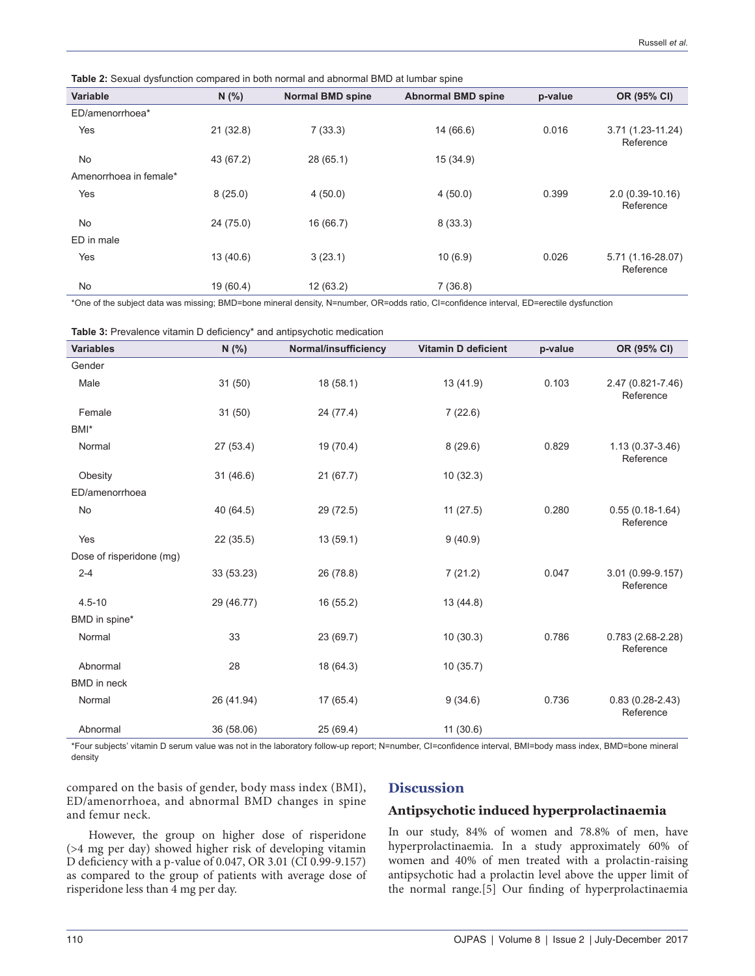| <b>Table 2.</b> Ockudi uybiunchon compared in bournomial and abnomial DiviD at iumbar spine |           |                         |                           |         |                                |  |  |
|---------------------------------------------------------------------------------------------|-----------|-------------------------|---------------------------|---------|--------------------------------|--|--|
| <b>Variable</b>                                                                             | N(% )     | <b>Normal BMD spine</b> | <b>Abnormal BMD spine</b> | p-value | OR (95% CI)                    |  |  |
| ED/amenorrhoea*                                                                             |           |                         |                           |         |                                |  |  |
| Yes                                                                                         | 21(32.8)  | 7(33.3)                 | 14 (66.6)                 | 0.016   | 3.71 (1.23-11.24)<br>Reference |  |  |
| No                                                                                          | 43 (67.2) | 28(65.1)                | 15 (34.9)                 |         |                                |  |  |
| Amenorrhoea in female*                                                                      |           |                         |                           |         |                                |  |  |
| Yes                                                                                         | 8(25.0)   | 4(50.0)                 | 4(50.0)                   | 0.399   | $2.0(0.39-10.16)$<br>Reference |  |  |
| No                                                                                          | 24(75.0)  | 16 (66.7)               | 8(33.3)                   |         |                                |  |  |
| ED in male                                                                                  |           |                         |                           |         |                                |  |  |
| Yes                                                                                         | 13(40.6)  | 3(23.1)                 | 10(6.9)                   | 0.026   | 5.71 (1.16-28.07)<br>Reference |  |  |
| No                                                                                          | 19 (60.4) | 12(63.2)                | 7(36.8)                   |         |                                |  |  |
|                                                                                             |           |                         |                           |         |                                |  |  |

**Table 2:** Sexual dysfunction compared in both normal and abnormal BMD at lumbar spine

\*One of the subject data was missing; BMD=bone mineral density, N=number, OR=odds ratio, CI=confidence interval, ED=erectile dysfunction

| and antipoyonous modiodus in |            |                      |                            |         |                                  |  |  |  |
|------------------------------|------------|----------------------|----------------------------|---------|----------------------------------|--|--|--|
| <b>Variables</b>             | N(% )      | Normal/insufficiency | <b>Vitamin D deficient</b> | p-value | OR (95% CI)                      |  |  |  |
| Gender                       |            |                      |                            |         |                                  |  |  |  |
| Male                         | 31(50)     | 18 (58.1)            | 13 (41.9)                  | 0.103   | 2.47 (0.821-7.46)<br>Reference   |  |  |  |
| Female                       | 31(50)     | 24 (77.4)            | 7(22.6)                    |         |                                  |  |  |  |
| BMI*                         |            |                      |                            |         |                                  |  |  |  |
| Normal                       | 27 (53.4)  | 19 (70.4)            | 8(29.6)                    | 0.829   | $1.13(0.37-3.46)$<br>Reference   |  |  |  |
| Obesity                      | 31(46.6)   | 21(67.7)             | 10(32.3)                   |         |                                  |  |  |  |
| ED/amenorrhoea               |            |                      |                            |         |                                  |  |  |  |
| No                           | 40 (64.5)  | 29 (72.5)            | 11(27.5)                   | 0.280   | $0.55(0.18-1.64)$<br>Reference   |  |  |  |
| Yes                          | 22(35.5)   | 13(59.1)             | 9(40.9)                    |         |                                  |  |  |  |
| Dose of risperidone (mg)     |            |                      |                            |         |                                  |  |  |  |
| $2 - 4$                      | 33 (53.23) | 26 (78.8)            | 7(21.2)                    | 0.047   | 3.01 (0.99-9.157)<br>Reference   |  |  |  |
| $4.5 - 10$                   | 29 (46.77) | 16(55.2)             | 13(44.8)                   |         |                                  |  |  |  |
| BMD in spine*                |            |                      |                            |         |                                  |  |  |  |
| Normal                       | 33         | 23 (69.7)            | 10(30.3)                   | 0.786   | $0.783(2.68-2.28)$<br>Reference  |  |  |  |
| Abnormal                     | 28         | 18 (64.3)            | 10(35.7)                   |         |                                  |  |  |  |
| <b>BMD</b> in neck           |            |                      |                            |         |                                  |  |  |  |
| Normal                       | 26 (41.94) | 17(65.4)             | 9(34.6)                    | 0.736   | $0.83(0.28 - 2.43)$<br>Reference |  |  |  |
| Abnormal                     | 36 (58.06) | 25(69.4)             | 11(30.6)                   |         |                                  |  |  |  |

\*Four subjects' vitamin D serum value was not in the laboratory follow‑up report; N=number, CI=confidence interval, BMI=body mass index, BMD=bone mineral density

compared on the basis of gender, body mass index (BMI), ED/amenorrhoea, and abnormal BMD changes in spine and femur neck.

## **Discussion**

#### **Antipsychotic induced hyperprolactinaemia**

However, the group on higher dose of risperidone (>4 mg per day) showed higher risk of developing vitamin D deficiency with a p-value of 0.047, OR 3.01 (CI 0.99-9.157) as compared to the group of patients with average dose of risperidone less than 4 mg per day.

In our study, 84% of women and 78.8% of men, have hyperprolactinaemia. In a study approximately 60% of women and 40% of men treated with a prolactin-raising antipsychotic had a prolactin level above the upper limit of the normal range.[5] Our finding of hyperprolactinaemia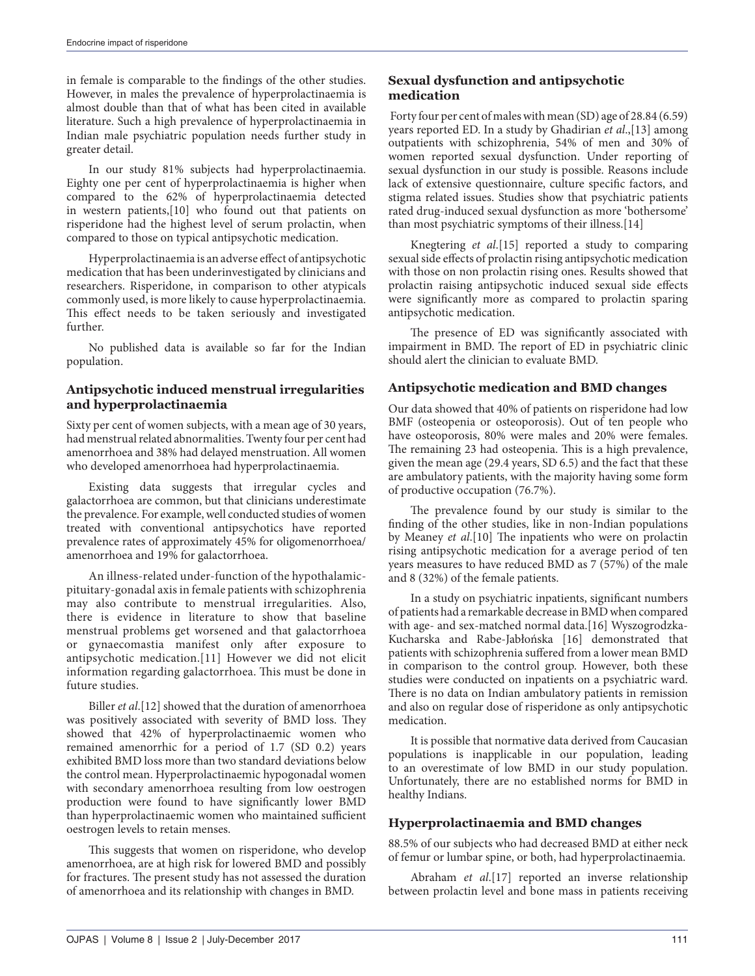in female is comparable to the findings of the other studies. However, in males the prevalence of hyperprolactinaemia is almost double than that of what has been cited in available literature. Such a high prevalence of hyperprolactinaemia in Indian male psychiatric population needs further study in greater detail.

In our study 81% subjects had hyperprolactinaemia. Eighty one per cent of hyperprolactinaemia is higher when compared to the 62% of hyperprolactinaemia detected in western patients,[10] who found out that patients on risperidone had the highest level of serum prolactin, when compared to those on typical antipsychotic medication.

Hyperprolactinaemia is an adverse effect of antipsychotic medication that has been underinvestigated by clinicians and researchers. Risperidone, in comparison to other atypicals commonly used, is more likely to cause hyperprolactinaemia. This effect needs to be taken seriously and investigated further.

No published data is available so far for the Indian population.

#### **Antipsychotic induced menstrual irregularities and hyperprolactinaemia**

Sixty per cent of women subjects, with a mean age of 30 years, had menstrual related abnormalities. Twenty four per cent had amenorrhoea and 38% had delayed menstruation. All women who developed amenorrhoea had hyperprolactinaemia.

Existing data suggests that irregular cycles and galactorrhoea are common, but that clinicians underestimate the prevalence. For example, well conducted studies of women treated with conventional antipsychotics have reported prevalence rates of approximately 45% for oligomenorrhoea/ amenorrhoea and 19% for galactorrhoea.

An illness-related under-function of the hypothalamicpituitary-gonadal axis in female patients with schizophrenia may also contribute to menstrual irregularities. Also, there is evidence in literature to show that baseline menstrual problems get worsened and that galactorrhoea or gynaecomastia manifest only after exposure to antipsychotic medication.[11] However we did not elicit information regarding galactorrhoea. This must be done in future studies.

Biller *et al*.[12] showed that the duration of amenorrhoea was positively associated with severity of BMD loss. They showed that 42% of hyperprolactinaemic women who remained amenorrhic for a period of 1.7 (SD 0.2) years exhibited BMD loss more than two standard deviations below the control mean. Hyperprolactinaemic hypogonadal women with secondary amenorrhoea resulting from low oestrogen production were found to have significantly lower BMD than hyperprolactinaemic women who maintained sufficient oestrogen levels to retain menses.

This suggests that women on risperidone, who develop amenorrhoea, are at high risk for lowered BMD and possibly for fractures. The present study has not assessed the duration of amenorrhoea and its relationship with changes in BMD.

## **Sexual dysfunction and antipsychotic medication**

 Forty four per cent of males with mean (SD) age of 28.84 (6.59) years reported ED. In a study by Ghadirian *et al*.,[13] among outpatients with schizophrenia, 54% of men and 30% of women reported sexual dysfunction. Under reporting of sexual dysfunction in our study is possible. Reasons include lack of extensive questionnaire, culture specific factors, and stigma related issues. Studies show that psychiatric patients rated drug-induced sexual dysfunction as more 'bothersome' than most psychiatric symptoms of their illness.[14]

Knegtering *et al*.[15] reported a study to comparing sexual side effects of prolactin rising antipsychotic medication with those on non prolactin rising ones. Results showed that prolactin raising antipsychotic induced sexual side effects were significantly more as compared to prolactin sparing antipsychotic medication.

The presence of ED was significantly associated with impairment in BMD. The report of ED in psychiatric clinic should alert the clinician to evaluate BMD.

# **Antipsychotic medication and BMD changes**

Our data showed that 40% of patients on risperidone had low BMF (osteopenia or osteoporosis). Out of ten people who have osteoporosis, 80% were males and 20% were females. The remaining 23 had osteopenia. This is a high prevalence, given the mean age (29.4 years, SD 6.5) and the fact that these are ambulatory patients, with the majority having some form of productive occupation (76.7%).

The prevalence found by our study is similar to the finding of the other studies, like in non-Indian populations by Meaney *et al*.[10] The inpatients who were on prolactin rising antipsychotic medication for a average period of ten years measures to have reduced BMD as 7 (57%) of the male and 8 (32%) of the female patients.

In a study on psychiatric inpatients, significant numbers of patients had a remarkable decrease in BMD when compared with age- and sex-matched normal data.[16] Wyszogrodzka-Kucharska and Rabe-Jabłońska [16] demonstrated that patients with schizophrenia suffered from a lower mean BMD in comparison to the control group. However, both these studies were conducted on inpatients on a psychiatric ward. There is no data on Indian ambulatory patients in remission and also on regular dose of risperidone as only antipsychotic medication.

It is possible that normative data derived from Caucasian populations is inapplicable in our population, leading to an overestimate of low BMD in our study population. Unfortunately, there are no established norms for BMD in healthy Indians.

#### **Hyperprolactinaemia and BMD changes**

88.5% of our subjects who had decreased BMD at either neck of femur or lumbar spine, or both, had hyperprolactinaemia.

Abraham *et al*.[17] reported an inverse relationship between prolactin level and bone mass in patients receiving